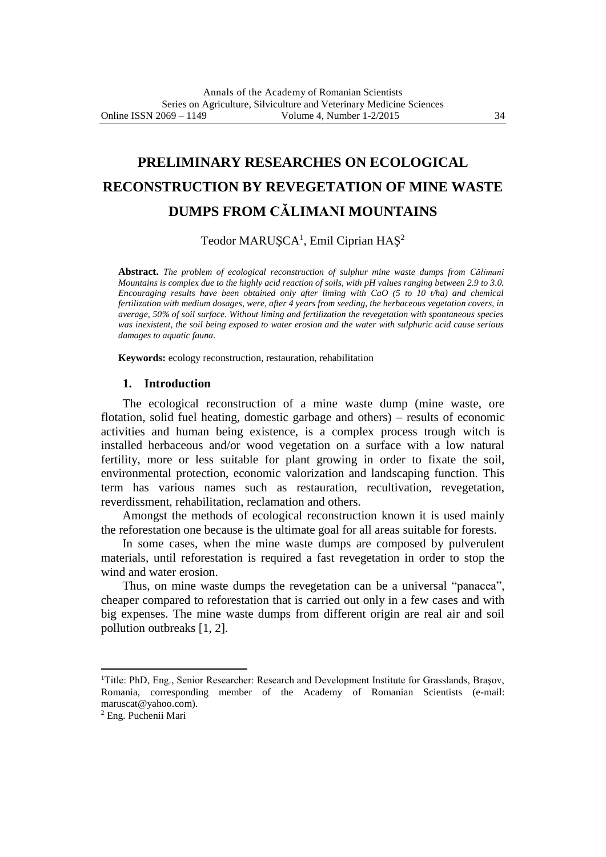# **PRELIMINARY RESEARCHES ON ECOLOGICAL RECONSTRUCTION BY REVEGETATION OF MINE WASTE DUMPS FROM CĂLIMANI MOUNTAINS**

Teodor MARUŞCA<sup>1</sup>, Emil Ciprian HAŞ<sup>2</sup>

**Abstract.** *The problem of ecological reconstruction of sulphur mine waste dumps from Călimani Mountains is complex due to the highly acid reaction of soils, with pH values ranging between 2.9 to 3.0. Encouraging results have been obtained only after liming with CaO (5 to 10 t/ha) and chemical fertilization with medium dosages, were, after 4 years from seeding, the herbaceous vegetation covers, in average, 50% of soil surface. Without liming and fertilization the revegetation with spontaneous species was inexistent, the soil being exposed to water erosion and the water with sulphuric acid cause serious damages to aquatic fauna.*

**Keywords:** ecology reconstruction, restauration, rehabilitation

## **1. Introduction**

The ecological reconstruction of a mine waste dump (mine waste, ore flotation, solid fuel heating, domestic garbage and others) – results of economic activities and human being existence, is a complex process trough witch is installed herbaceous and/or wood vegetation on a surface with a low natural fertility, more or less suitable for plant growing in order to fixate the soil, environmental protection, economic valorization and landscaping function. This term has various names such as restauration, recultivation, revegetation, reverdissment, rehabilitation, reclamation and others.

Amongst the methods of ecological reconstruction known it is used mainly the reforestation one because is the ultimate goal for all areas suitable for forests.

In some cases, when the mine waste dumps are composed by pulverulent materials, until reforestation is required a fast revegetation in order to stop the wind and water erosion.

Thus, on mine waste dumps the revegetation can be a universal "panacea", cheaper compared to reforestation that is carried out only in a few cases and with big expenses. The mine waste dumps from different origin are real air and soil pollution outbreaks [1, 2].

1

<sup>&</sup>lt;sup>1</sup>Title: PhD, Eng., Senior Researcher: Research and Development Institute for Grasslands, Brașov, Romania, corresponding member of the Academy of Romanian Scientists (e-mail: maruscat@yahoo.com).

<sup>2</sup> Eng. Puchenii Mari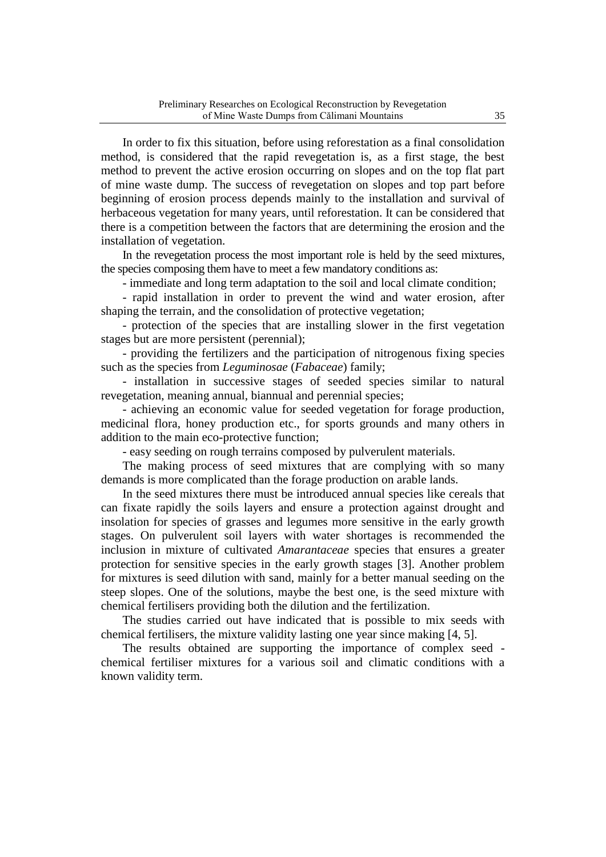In order to fix this situation, before using reforestation as a final consolidation method, is considered that the rapid revegetation is, as a first stage, the best method to prevent the active erosion occurring on slopes and on the top flat part of mine waste dump. The success of revegetation on slopes and top part before beginning of erosion process depends mainly to the installation and survival of herbaceous vegetation for many years, until reforestation. It can be considered that there is a competition between the factors that are determining the erosion and the installation of vegetation.

In the revegetation process the most important role is held by the seed mixtures, the species composing them have to meet a few mandatory conditions as:

- immediate and long term adaptation to the soil and local climate condition;

- rapid installation in order to prevent the wind and water erosion, after shaping the terrain, and the consolidation of protective vegetation;

- protection of the species that are installing slower in the first vegetation stages but are more persistent (perennial);

- providing the fertilizers and the participation of nitrogenous fixing species such as the species from *Leguminosae* (*Fabaceae*) family;

- installation in successive stages of seeded species similar to natural revegetation, meaning annual, biannual and perennial species;

- achieving an economic value for seeded vegetation for forage production, medicinal flora, honey production etc., for sports grounds and many others in addition to the main eco-protective function;

- easy seeding on rough terrains composed by pulverulent materials.

The making process of seed mixtures that are complying with so many demands is more complicated than the forage production on arable lands.

In the seed mixtures there must be introduced annual species like cereals that can fixate rapidly the soils layers and ensure a protection against drought and insolation for species of grasses and legumes more sensitive in the early growth stages. On pulverulent soil layers with water shortages is recommended the inclusion in mixture of cultivated *Amarantaceae* species that ensures a greater protection for sensitive species in the early growth stages [3]. Another problem for mixtures is seed dilution with sand, mainly for a better manual seeding on the steep slopes. One of the solutions, maybe the best one, is the seed mixture with chemical fertilisers providing both the dilution and the fertilization.

The studies carried out have indicated that is possible to mix seeds with chemical fertilisers, the mixture validity lasting one year since making [4, 5].

The results obtained are supporting the importance of complex seed chemical fertiliser mixtures for a various soil and climatic conditions with a known validity term.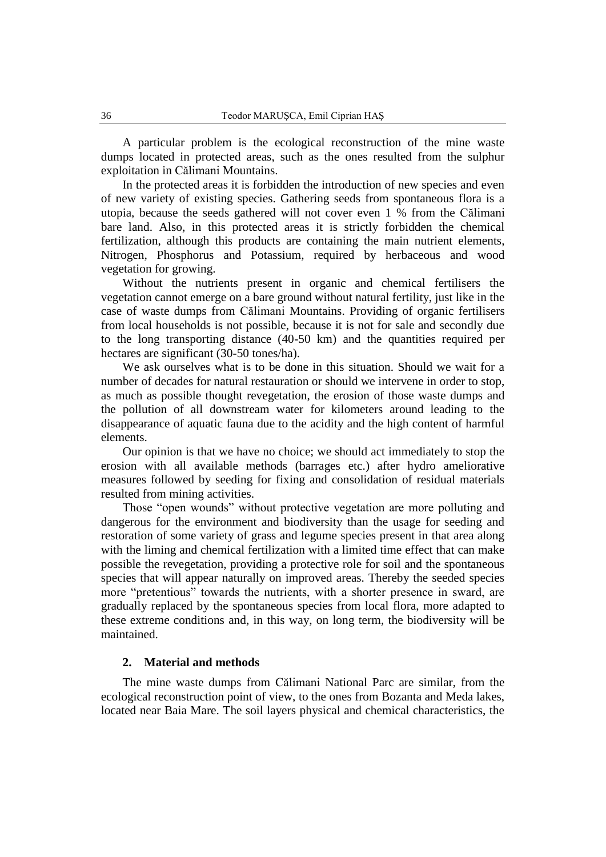A particular problem is the ecological reconstruction of the mine waste dumps located in protected areas, such as the ones resulted from the sulphur exploitation in Călimani Mountains.

In the protected areas it is forbidden the introduction of new species and even of new variety of existing species. Gathering seeds from spontaneous flora is a utopia, because the seeds gathered will not cover even 1 % from the Călimani bare land. Also, in this protected areas it is strictly forbidden the chemical fertilization, although this products are containing the main nutrient elements, Nitrogen, Phosphorus and Potassium, required by herbaceous and wood vegetation for growing.

Without the nutrients present in organic and chemical fertilisers the vegetation cannot emerge on a bare ground without natural fertility, just like in the case of waste dumps from Călimani Mountains. Providing of organic fertilisers from local households is not possible, because it is not for sale and secondly due to the long transporting distance (40-50 km) and the quantities required per hectares are significant (30-50 tones/ha).

We ask ourselves what is to be done in this situation. Should we wait for a number of decades for natural restauration or should we intervene in order to stop, as much as possible thought revegetation, the erosion of those waste dumps and the pollution of all downstream water for kilometers around leading to the disappearance of aquatic fauna due to the acidity and the high content of harmful elements.

Our opinion is that we have no choice; we should act immediately to stop the erosion with all available methods (barrages etc.) after hydro ameliorative measures followed by seeding for fixing and consolidation of residual materials resulted from mining activities.

Those "open wounds" without protective vegetation are more polluting and dangerous for the environment and biodiversity than the usage for seeding and restoration of some variety of grass and legume species present in that area along with the liming and chemical fertilization with a limited time effect that can make possible the revegetation, providing a protective role for soil and the spontaneous species that will appear naturally on improved areas. Thereby the seeded species more "pretentious" towards the nutrients, with a shorter presence in sward, are gradually replaced by the spontaneous species from local flora, more adapted to these extreme conditions and, in this way, on long term, the biodiversity will be maintained.

## **2. Material and methods**

The mine waste dumps from Călimani National Parc are similar, from the ecological reconstruction point of view, to the ones from Bozanta and Meda lakes, located near Baia Mare. The soil layers physical and chemical characteristics, the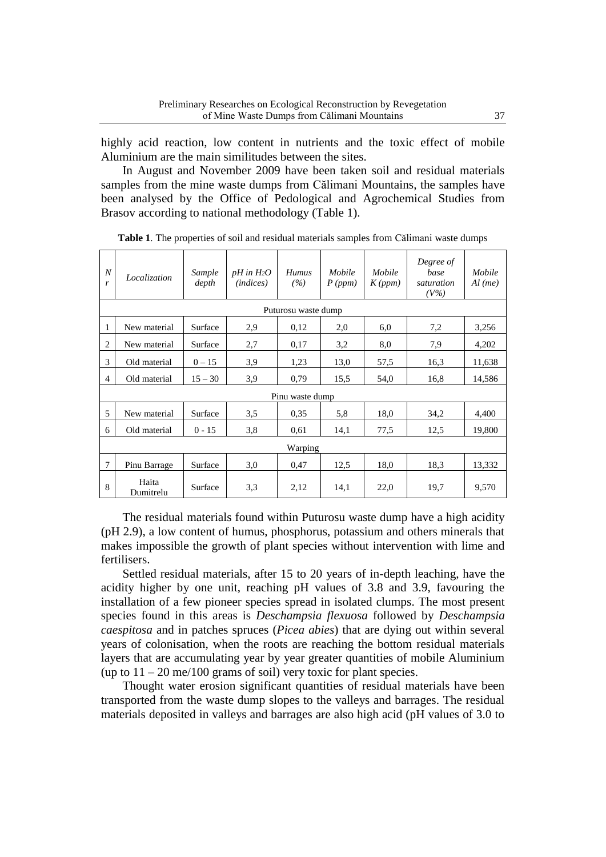highly acid reaction, low content in nutrients and the toxic effect of mobile Aluminium are the main similitudes between the sites.

In August and November 2009 have been taken soil and residual materials samples from the mine waste dumps from Călimani Mountains, the samples have been analysed by the Office of Pedological and Agrochemical Studies from Brasov according to national methodology (Table 1).

| $\boldsymbol{N}$<br>$\mathbf{r}$ | Localization        | Sample<br>depth | $pH$ in $H_2O$<br>( <i>indices</i> ) | <b>Humus</b><br>(%) | Mobile<br>P(ppm) | Mobile<br>K(ppm) | Degree of<br>base<br>saturation<br>$(V\%)$ | Mobile<br>$Al$ (me) |  |  |
|----------------------------------|---------------------|-----------------|--------------------------------------|---------------------|------------------|------------------|--------------------------------------------|---------------------|--|--|
|                                  | Puturosu waste dump |                 |                                      |                     |                  |                  |                                            |                     |  |  |
| 1                                | New material        | Surface         | 2,9                                  | 0,12                | 2,0              | 6,0              | 7,2                                        | 3,256               |  |  |
| 2                                | New material        | Surface         | 2,7                                  | 0,17                | 3,2              | 8,0              | 7,9                                        | 4,202               |  |  |
| 3                                | Old material        | $0 - 15$        | 3,9                                  | 1,23                | 13,0             | 57,5             | 16,3                                       | 11,638              |  |  |
| $\overline{4}$                   | Old material        | $15 - 30$       | 3,9                                  | 0,79                | 15,5             | 54,0             | 16,8                                       | 14,586              |  |  |
|                                  | Pinu waste dump     |                 |                                      |                     |                  |                  |                                            |                     |  |  |
| 5                                | New material        | Surface         | 3,5                                  | 0.35                | 5,8              | 18,0             | 34,2                                       | 4,400               |  |  |
| 6                                | Old material        | $0 - 15$        | 3,8                                  | 0,61                | 14,1             | 77,5             | 12,5                                       | 19,800              |  |  |
| Warping                          |                     |                 |                                      |                     |                  |                  |                                            |                     |  |  |
| $\overline{7}$                   | Pinu Barrage        | Surface         | 3,0                                  | 0,47                | 12,5             | 18,0             | 18,3                                       | 13,332              |  |  |
| 8                                | Haita<br>Dumitrelu  | Surface         | 3,3                                  | 2,12                | 14,1             | 22,0             | 19,7                                       | 9,570               |  |  |

**Table 1***.* The properties of soil and residual materials samples from Călimani waste dumps

The residual materials found within Puturosu waste dump have a high acidity (pH 2.9), a low content of humus, phosphorus, potassium and others minerals that makes impossible the growth of plant species without intervention with lime and fertilisers.

Settled residual materials, after 15 to 20 years of in-depth leaching, have the acidity higher by one unit, reaching pH values of 3.8 and 3.9, favouring the installation of a few pioneer species spread in isolated clumps. The most present species found in this areas is *Deschampsia flexuosa* followed by *Deschampsia caespitosa* and in patches spruces (*Picea abies*) that are dying out within several years of colonisation, when the roots are reaching the bottom residual materials layers that are accumulating year by year greater quantities of mobile Aluminium (up to  $11 - 20$  me/100 grams of soil) very toxic for plant species.

Thought water erosion significant quantities of residual materials have been transported from the waste dump slopes to the valleys and barrages. The residual materials deposited in valleys and barrages are also high acid (pH values of 3.0 to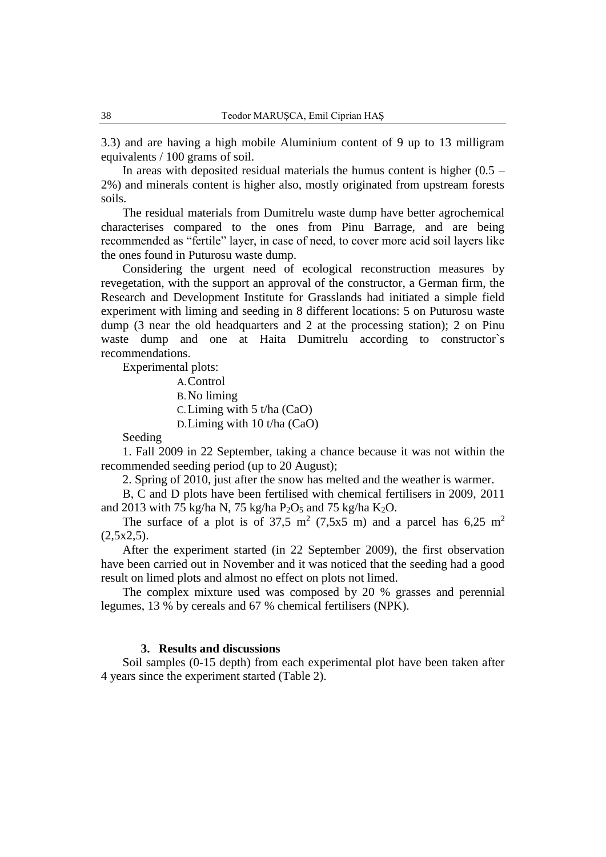3.3) and are having a high mobile Aluminium content of 9 up to 13 milligram equivalents / 100 grams of soil.

In areas with deposited residual materials the humus content is higher  $(0.5 -$ 2%) and minerals content is higher also, mostly originated from upstream forests soils.

The residual materials from Dumitrelu waste dump have better agrochemical characterises compared to the ones from Pinu Barrage, and are being recommended as "fertile" layer, in case of need, to cover more acid soil layers like the ones found in Puturosu waste dump.

Considering the urgent need of ecological reconstruction measures by revegetation, with the support an approval of the constructor, a German firm, the Research and Development Institute for Grasslands had initiated a simple field experiment with liming and seeding in 8 different locations: 5 on Puturosu waste dump (3 near the old headquarters and 2 at the processing station); 2 on Pinu waste dump and one at Haita Dumitrelu according to constructor`s recommendations.

Experimental plots:

A.Control B.No liming C.Liming with 5 t/ha (CaO) D.Liming with 10 t/ha (CaO)

Seeding

1. Fall 2009 in 22 September, taking a chance because it was not within the recommended seeding period (up to 20 August);

2. Spring of 2010, just after the snow has melted and the weather is warmer.

B, C and D plots have been fertilised with chemical fertilisers in 2009, 2011 and 2013 with 75 kg/ha N, 75 kg/ha  $P_2O_5$  and 75 kg/ha K<sub>2</sub>O.

The surface of a plot is of 37,5 m<sup>2</sup> (7,5x5 m) and a parcel has 6,25 m<sup>2</sup>  $(2,5x2,5)$ .

After the experiment started (in 22 September 2009), the first observation have been carried out in November and it was noticed that the seeding had a good result on limed plots and almost no effect on plots not limed.

The complex mixture used was composed by 20 % grasses and perennial legumes, 13 % by cereals and 67 % chemical fertilisers (NPK).

### **3. Results and discussions**

Soil samples (0-15 depth) from each experimental plot have been taken after 4 years since the experiment started (Table 2).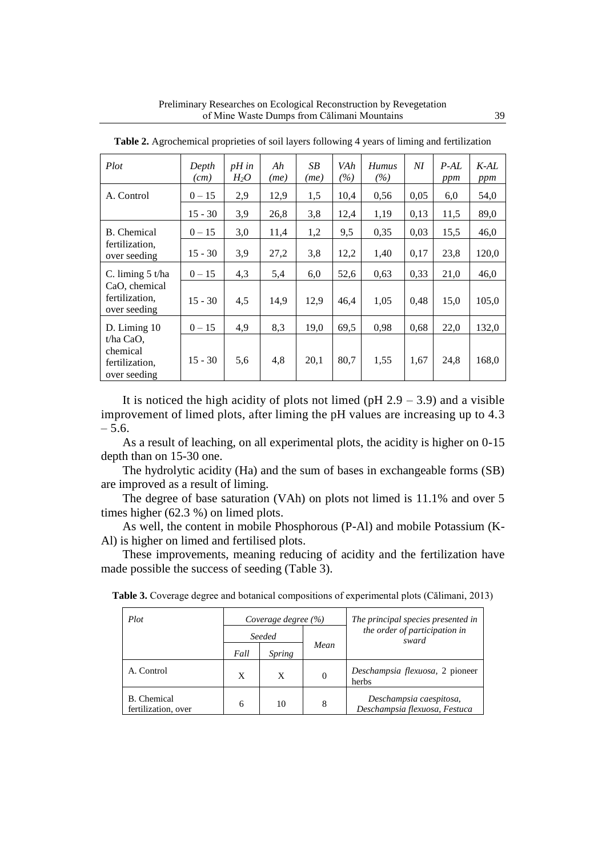| Plot                                                      | Depth<br>(cm) | $pH$ in<br>$H_2O$ | Ah<br>(me) | SB<br>(me) | VAh<br>$\frac{\%}{\%}$ | <b>Humus</b><br>(%) | $\overline{M}$ | P <sub>·</sub> AL<br>ppm | $K$ -AL<br>ppm |
|-----------------------------------------------------------|---------------|-------------------|------------|------------|------------------------|---------------------|----------------|--------------------------|----------------|
| A. Control                                                | $0 - 15$      | 2,9               | 12,9       | 1,5        | 10,4                   | 0,56                | 0,05           | 6,0                      | 54,0           |
|                                                           | $15 - 30$     | 3,9               | 26,8       | 3,8        | 12,4                   | 1,19                | 0,13           | 11,5                     | 89,0           |
| <b>B.</b> Chemical                                        | $0 - 15$      | 3,0               | 11,4       | 1,2        | 9,5                    | 0,35                | 0,03           | 15,5                     | 46,0           |
| fertilization,<br>over seeding                            | $15 - 30$     | 3,9               | 27,2       | 3,8        | 12,2                   | 1,40                | 0,17           | 23,8                     | 120,0          |
| C. liming $5 \text{ t/ha}$                                | $0 - 15$      | 4,3               | 5,4        | 6,0        | 52,6                   | 0.63                | 0.33           | 21,0                     | 46,0           |
| CaO, chemical<br>fertilization,<br>over seeding           | $15 - 30$     | 4,5               | 14,9       | 12,9       | 46,4                   | 1,05                | 0,48           | 15,0                     | 105,0          |
| $D.$ Liming 10                                            | $0 - 15$      | 4,9               | 8,3        | 19,0       | 69,5                   | 0,98                | 0,68           | 22,0                     | 132,0          |
| $t/ha$ CaO.<br>chemical<br>fertilization,<br>over seeding | $15 - 30$     | 5,6               | 4,8        | 20,1       | 80,7                   | 1,55                | 1,67           | 24,8                     | 168,0          |

**Table 2.** Agrochemical proprieties of soil layers following 4 years of liming and fertilization

It is noticed the high acidity of plots not limed ( $pH$  2.9 – 3.9) and a visible improvement of limed plots, after liming the pH values are increasing up to 4.3 – 5.6.

As a result of leaching, on all experimental plots, the acidity is higher on 0-15 depth than on 15-30 one.

The hydrolytic acidity (Ha) and the sum of bases in exchangeable forms (SB) are improved as a result of liming.

The degree of base saturation (VAh) on plots not limed is 11.1% and over 5 times higher (62.3 %) on limed plots.

As well, the content in mobile Phosphorous (P-Al) and mobile Potassium (K-Al) is higher on limed and fertilised plots.

These improvements, meaning reducing of acidity and the fertilization have made possible the success of seeding (Table 3).

| Plot                               |        | Coverage degree $(\% )$ |          | The principal species presented in                       |  |
|------------------------------------|--------|-------------------------|----------|----------------------------------------------------------|--|
|                                    | Seeded |                         |          | the order of participation in<br>sward                   |  |
|                                    | Fall   | Spring                  | Mean     |                                                          |  |
| A. Control                         | X      | X                       | $\Omega$ | Deschampsia flexuosa, 2 pioneer<br>herbs                 |  |
| B. Chemical<br>fertilization, over | 6      | 10                      | 8        | Deschampsia caespitosa,<br>Deschampsia flexuosa, Festuca |  |

**Table 3.** Coverage degree and botanical compositions of experimental plots (Călimani, 2013)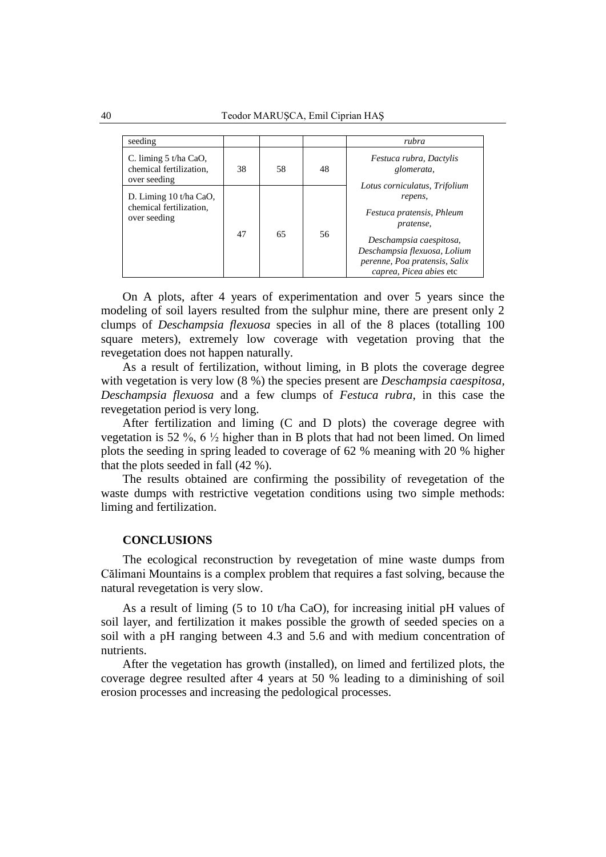40 Teodor MARUŞCA, Emil Ciprian HAŞ

| seeding                                                           |    |    |    | rubra                                                                                                                                                                                                     |  |
|-------------------------------------------------------------------|----|----|----|-----------------------------------------------------------------------------------------------------------------------------------------------------------------------------------------------------------|--|
| C. liming $5t/ha$ CaO,<br>chemical fertilization,<br>over seeding | 38 | 58 | 48 | Festuca rubra, Dactylis<br>glomerata,                                                                                                                                                                     |  |
| D. Liming 10 t/ha CaO,<br>chemical fertilization,<br>over seeding | 47 | 65 | 56 | Lotus corniculatus, Trifolium<br>repens,<br>Festuca pratensis, Phleum<br>pratense,<br>Deschampsia caespitosa,<br>Deschampsia flexuosa, Lolium<br>perenne, Poa pratensis, Salix<br>caprea, Picea abies etc |  |

On A plots, after 4 years of experimentation and over 5 years since the modeling of soil layers resulted from the sulphur mine, there are present only 2 clumps of *Deschampsia flexuosa* species in all of the 8 places (totalling 100 square meters), extremely low coverage with vegetation proving that the revegetation does not happen naturally.

As a result of fertilization, without liming, in B plots the coverage degree with vegetation is very low (8 %) the species present are *Deschampsia caespitosa, Deschampsia flexuosa* and a few clumps of *Festuca rubra*, in this case the revegetation period is very long.

After fertilization and liming (C and D plots) the coverage degree with vegetation is 52 %, 6  $\frac{1}{2}$  higher than in B plots that had not been limed. On limed plots the seeding in spring leaded to coverage of 62 % meaning with 20 % higher that the plots seeded in fall (42 %).

The results obtained are confirming the possibility of revegetation of the waste dumps with restrictive vegetation conditions using two simple methods: liming and fertilization.

## **CONCLUSIONS**

The ecological reconstruction by revegetation of mine waste dumps from Călimani Mountains is a complex problem that requires a fast solving, because the natural revegetation is very slow.

As a result of liming (5 to 10 t/ha CaO), for increasing initial pH values of soil layer, and fertilization it makes possible the growth of seeded species on a soil with a pH ranging between 4.3 and 5.6 and with medium concentration of nutrients.

After the vegetation has growth (installed), on limed and fertilized plots, the coverage degree resulted after 4 years at 50 % leading to a diminishing of soil erosion processes and increasing the pedological processes.